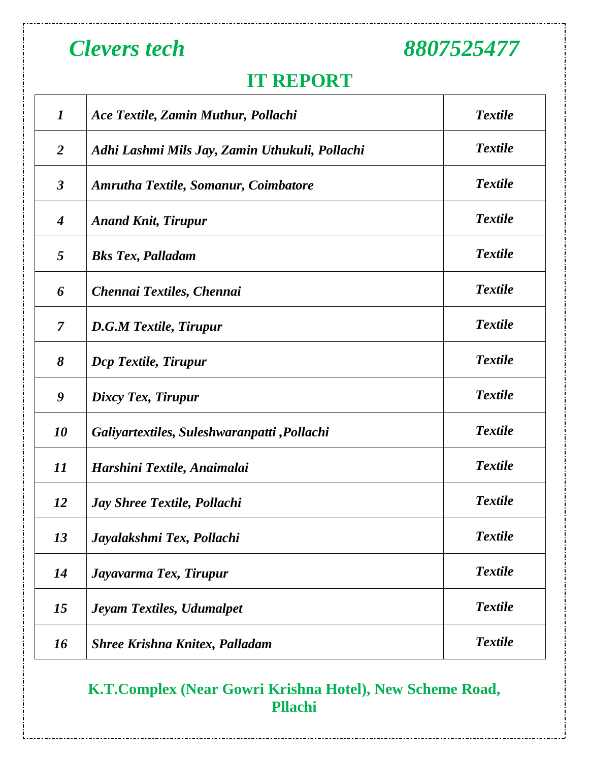### **IT REPORT**

| $\boldsymbol{I}$     | Ace Textile, Zamin Muthur, Pollachi            | <b>Textile</b> |
|----------------------|------------------------------------------------|----------------|
| 2                    | Adhi Lashmi Mils Jay, Zamin Uthukuli, Pollachi | <b>Textile</b> |
| $\boldsymbol{\beta}$ | Amrutha Textile, Somanur, Coimbatore           | <b>Textile</b> |
| $\boldsymbol{4}$     | <b>Anand Knit, Tirupur</b>                     | <b>Textile</b> |
| $\overline{5}$       | <b>Bks Tex, Palladam</b>                       | <b>Textile</b> |
| 6                    | Chennai Textiles, Chennai                      | <b>Textile</b> |
| $\overline{7}$       | <b>D.G.M Textile, Tirupur</b>                  | <b>Textile</b> |
| 8                    | Dcp Textile, Tirupur                           | <b>Textile</b> |
| 9                    | Dixcy Tex, Tirupur                             | <b>Textile</b> |
| 10                   | Galiyartextiles, Suleshwaranpatti , Pollachi   | <b>Textile</b> |
| 11                   | Harshini Textile, Anaimalai                    | <b>Textile</b> |
| <i>12</i>            | <b>Jay Shree Textile, Pollachi</b>             | <b>Textile</b> |
| 13                   | Jayalakshmi Tex, Pollachi                      | <b>Textile</b> |
| 14                   | Jayavarma Tex, Tirupur                         | <b>Textile</b> |
| 15                   | <b>Jeyam Textiles, Udumalpet</b>               | <b>Textile</b> |
| 16                   | <b>Shree Krishna Knitex, Palladam</b>          | <b>Textile</b> |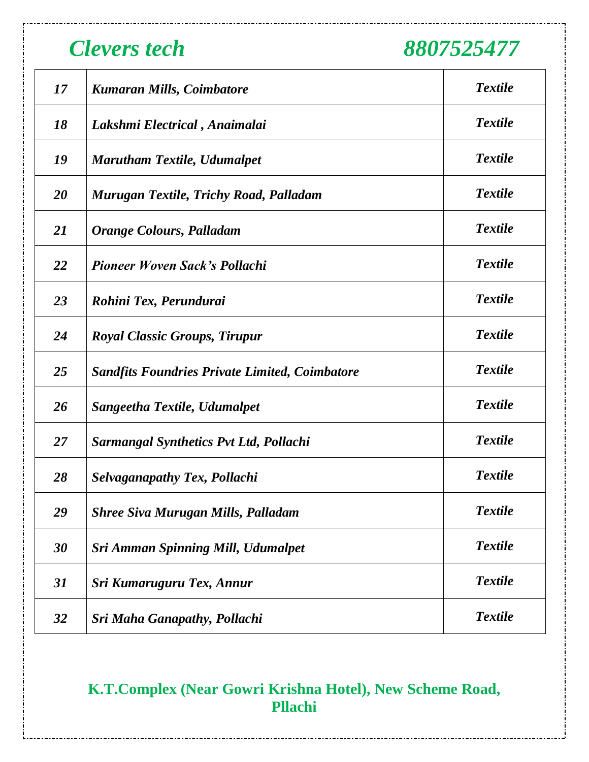| 17        | <b>Kumaran Mills, Coimbatore</b>                      | <b>Textile</b> |
|-----------|-------------------------------------------------------|----------------|
| 18        | Lakshmi Electrical, Anaimalai                         | <b>Textile</b> |
| 19        | <b>Marutham Textile, Udumalpet</b>                    | <b>Textile</b> |
| 20        | Murugan Textile, Trichy Road, Palladam                | <b>Textile</b> |
| <b>21</b> | Orange Colours, Palladam                              | <b>Textile</b> |
| 22        | <b>Pioneer Woven Sack's Pollachi</b>                  | <b>Textile</b> |
| 23        | Rohini Tex, Perundurai                                | <b>Textile</b> |
| 24        | <b>Royal Classic Groups, Tirupur</b>                  | <b>Textile</b> |
| 25        | <b>Sandfits Foundries Private Limited, Coimbatore</b> | <b>Textile</b> |
| 26        | Sangeetha Textile, Udumalpet                          | <b>Textile</b> |
| 27        | <b>Sarmangal Synthetics Pvt Ltd, Pollachi</b>         | <b>Textile</b> |
| 28        | <b>Selvaganapathy Tex, Pollachi</b>                   | <b>Textile</b> |
| 29        | <b>Shree Siva Murugan Mills, Palladam</b>             | <b>Textile</b> |
| 30        | <b>Sri Amman Spinning Mill, Udumalpet</b>             | <b>Textile</b> |
| 31        | Sri Kumaruguru Tex, Annur                             | <b>Textile</b> |
| 32        | <b>Sri Maha Ganapathy, Pollachi</b>                   | <b>Textile</b> |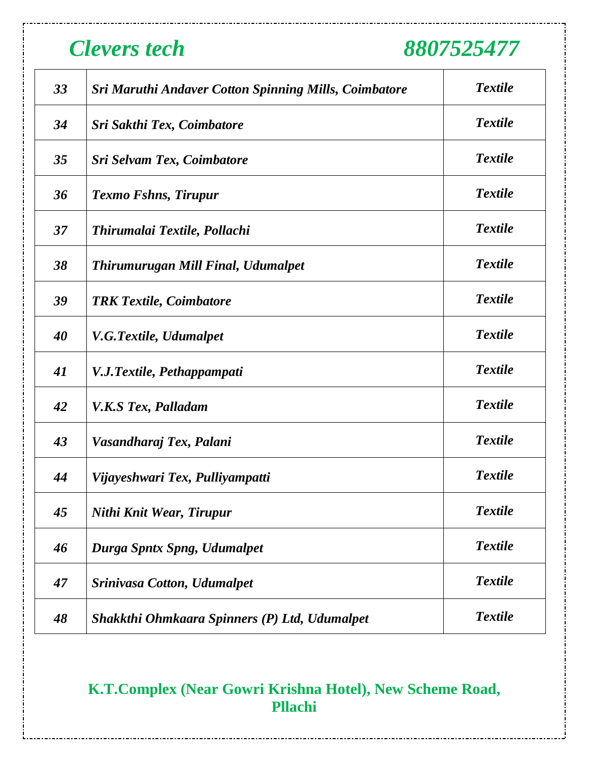| 33 | <b>Sri Maruthi Andaver Cotton Spinning Mills, Coimbatore</b> | <b>Textile</b> |
|----|--------------------------------------------------------------|----------------|
| 34 | Sri Sakthi Tex, Coimbatore                                   | <b>Textile</b> |
| 35 | Sri Selvam Tex, Coimbatore                                   | <b>Textile</b> |
| 36 | <b>Texmo Fshns, Tirupur</b>                                  | <b>Textile</b> |
| 37 | Thirumalai Textile, Pollachi                                 | <b>Textile</b> |
| 38 | Thirumurugan Mill Final, Udumalpet                           | <b>Textile</b> |
| 39 | <b>TRK Textile, Coimbatore</b>                               | <b>Textile</b> |
| 40 | V.G.Textile, Udumalpet                                       | <b>Textile</b> |
| 41 | V.J.Textile, Pethappampati                                   | <b>Textile</b> |
| 42 | <b>V.K.S Tex, Palladam</b>                                   | <b>Textile</b> |
| 43 | Vasandharaj Tex, Palani                                      | <b>Textile</b> |
| 44 | Vijayeshwari Tex, Pulliyampatti                              | <b>Textile</b> |
| 45 | Nithi Knit Wear, Tirupur                                     | <b>Textile</b> |
| 46 | Durga Spntx Spng, Udumalpet                                  | <b>Textile</b> |
| 47 | <b>Srinivasa Cotton, Udumalpet</b>                           | <b>Textile</b> |
| 48 | Shakkthi Ohmkaara Spinners (P) Ltd, Udumalpet                | <b>Textile</b> |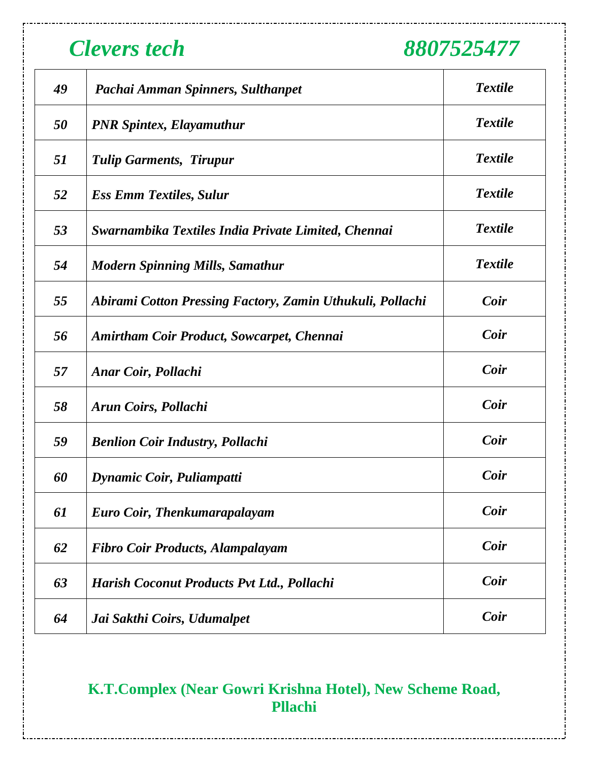| 49 | Pachai Amman Spinners, Sulthanpet                         | <b>Textile</b> |
|----|-----------------------------------------------------------|----------------|
| 50 | <b>PNR Spintex, Elayamuthur</b>                           | <b>Textile</b> |
| 51 | <b>Tulip Garments, Tirupur</b>                            | <b>Textile</b> |
| 52 | <b>Ess Emm Textiles, Sulur</b>                            | <b>Textile</b> |
| 53 | Swarnambika Textiles India Private Limited, Chennai       | <b>Textile</b> |
| 54 | <b>Modern Spinning Mills, Samathur</b>                    | <b>Textile</b> |
| 55 | Abirami Cotton Pressing Factory, Zamin Uthukuli, Pollachi | <b>Coir</b>    |
| 56 | <b>Amirtham Coir Product, Sowcarpet, Chennai</b>          | Coir           |
| 57 | <b>Anar Coir, Pollachi</b>                                | Coir           |
| 58 | Arun Coirs, Pollachi                                      | Coir           |
| 59 | <b>Benlion Coir Industry, Pollachi</b>                    | Coir           |
| 60 | Dynamic Coir, Puliampatti                                 | <b>Coir</b>    |
| 61 | Euro Coir, Thenkumarapalayam                              | Coir           |
| 62 | <b>Fibro Coir Products, Alampalayam</b>                   | <b>Coir</b>    |
| 63 | Harish Coconut Products Pvt Ltd., Pollachi                | <b>Coir</b>    |
| 64 | Jai Sakthi Coirs, Udumalpet                               | <b>Coir</b>    |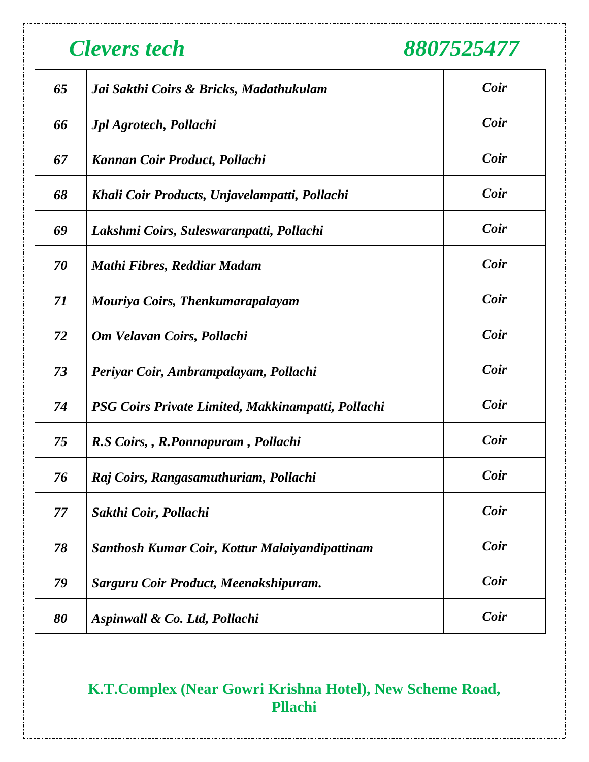| 65 | Jai Sakthi Coirs & Bricks, Madathukulam            | Coir |
|----|----------------------------------------------------|------|
| 66 | <b>Jpl Agrotech, Pollachi</b>                      | Coir |
| 67 | Kannan Coir Product, Pollachi                      | Coir |
| 68 | Khali Coir Products, Unjavelampatti, Pollachi      | Coir |
| 69 | Lakshmi Coirs, Suleswaranpatti, Pollachi           | Coir |
| 70 | Mathi Fibres, Reddiar Madam                        | Coir |
| 71 | Mouriya Coirs, Thenkumarapalayam                   | Coir |
| 72 | Om Velavan Coirs, Pollachi                         | Coir |
| 73 | Periyar Coir, Ambrampalayam, Pollachi              | Coir |
| 74 | PSG Coirs Private Limited, Makkinampatti, Pollachi | Coir |
| 75 | R.S Coirs, , R.Ponnapuram, Pollachi                | Coir |
| 76 | Raj Coirs, Rangasamuthuriam, Pollachi              | Coir |
| 77 | Sakthi Coir, Pollachi                              | Coir |
| 78 | Santhosh Kumar Coir, Kottur Malaiyandipattinam     | Coir |
| 79 | Sarguru Coir Product, Meenakshipuram.              | Coir |
| 80 | Aspinwall & Co. Ltd, Pollachi                      | Coir |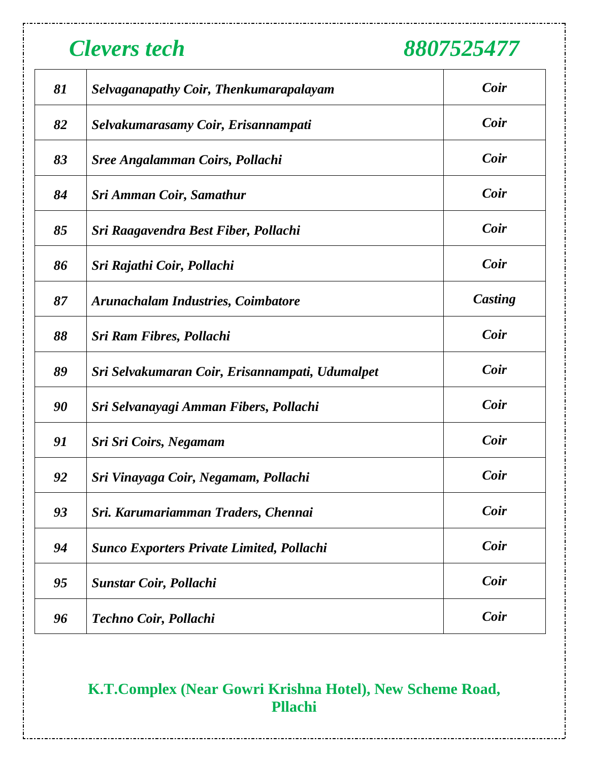| 81 | <b>Selvaganapathy Coir, Thenkumarapalayam</b>    | Coir    |
|----|--------------------------------------------------|---------|
| 82 | Selvakumarasamy Coir, Erisannampati              | Coir    |
| 83 | <b>Sree Angalamman Coirs, Pollachi</b>           | Coir    |
| 84 | Sri Amman Coir, Samathur                         | Coir    |
| 85 | Sri Raagavendra Best Fiber, Pollachi             | Coir    |
| 86 | Sri Rajathi Coir, Pollachi                       | Coir    |
| 87 | <b>Arunachalam Industries, Coimbatore</b>        | Casting |
| 88 | Sri Ram Fibres, Pollachi                         | Coir    |
| 89 | Sri Selvakumaran Coir, Erisannampati, Udumalpet  | Coir    |
| 90 | Sri Selvanayagi Amman Fibers, Pollachi           | Coir    |
| 91 | Sri Sri Coirs, Negamam                           | Coir    |
| 92 | Sri Vinayaga Coir, Negamam, Pollachi             | Coir    |
| 93 | Sri. Karumariamman Traders, Chennai              | Coir    |
| 94 | <b>Sunco Exporters Private Limited, Pollachi</b> | Coir    |
| 95 | Sunstar Coir, Pollachi                           | Coir    |
| 96 | Techno Coir, Pollachi                            | Coir    |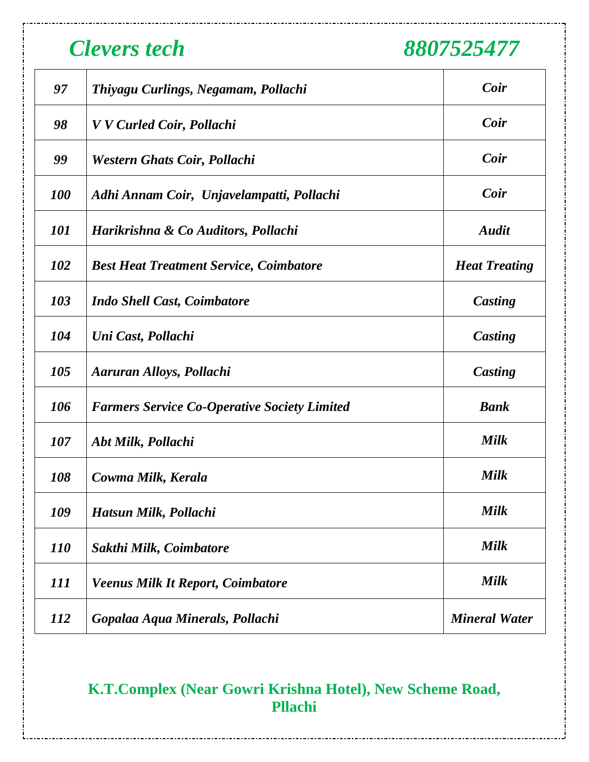| 97                | Thiyagu Curlings, Negamam, Pollachi                 | Coir                 |
|-------------------|-----------------------------------------------------|----------------------|
| 98                | V V Curled Coir, Pollachi                           | Coir                 |
| 99                | <b>Western Ghats Coir, Pollachi</b>                 | Coir                 |
| <b>100</b>        | Adhi Annam Coir, Unjavelampatti, Pollachi           | Coir                 |
| <i><b>101</b></i> | Harikrishna & Co Auditors, Pollachi                 | <b>Audit</b>         |
| 102               | <b>Best Heat Treatment Service, Coimbatore</b>      | <b>Heat Treating</b> |
| 103               | <b>Indo Shell Cast, Coimbatore</b>                  | Casting              |
| 104               | Uni Cast, Pollachi                                  | Casting              |
| 105               | Aaruran Alloys, Pollachi                            | Casting              |
| 106               | <b>Farmers Service Co-Operative Society Limited</b> | <b>Bank</b>          |
| 107               | Abt Milk, Pollachi                                  | <b>Milk</b>          |
| 108               | Cowma Milk, Kerala                                  | Milk                 |
| 109               | Hatsun Milk, Pollachi                               | <b>Milk</b>          |
| <i>110</i>        | Sakthi Milk, Coimbatore                             | <b>Milk</b>          |
| 111               | <b>Veenus Milk It Report, Coimbatore</b>            | <b>Milk</b>          |
| <i>112</i>        | Gopalaa Aqua Minerals, Pollachi                     | <b>Mineral Water</b> |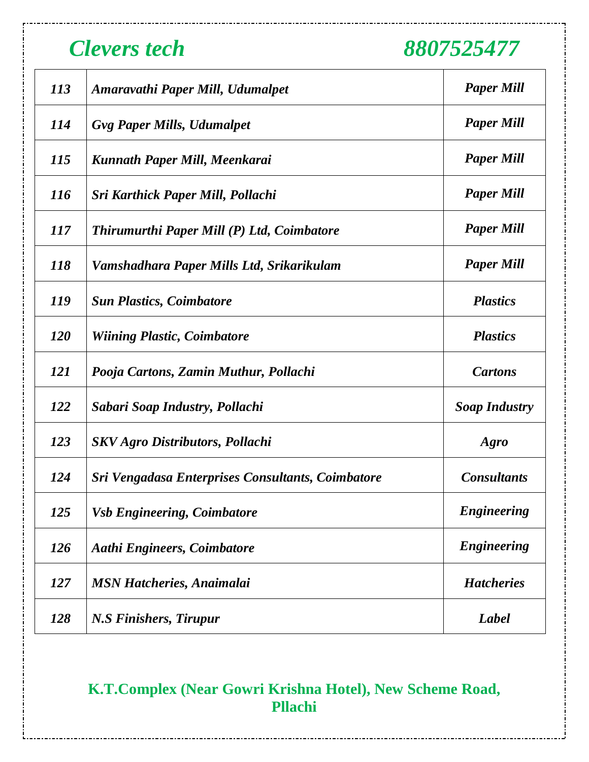| <i>113</i> | Amaravathi Paper Mill, Udumalpet                  | <b>Paper Mill</b>    |
|------------|---------------------------------------------------|----------------------|
| <i>114</i> | <b>Gvg Paper Mills, Udumalpet</b>                 | <b>Paper Mill</b>    |
| <i>115</i> | Kunnath Paper Mill, Meenkarai                     | <b>Paper Mill</b>    |
| <i>116</i> | Sri Karthick Paper Mill, Pollachi                 | <b>Paper Mill</b>    |
| <i>117</i> | Thirumurthi Paper Mill (P) Ltd, Coimbatore        | <b>Paper Mill</b>    |
| <i>118</i> | Vamshadhara Paper Mills Ltd, Srikarikulam         | <b>Paper Mill</b>    |
| <i>119</i> | <b>Sun Plastics, Coimbatore</b>                   | <b>Plastics</b>      |
| <b>120</b> | <b>Wiining Plastic, Coimbatore</b>                | <b>Plastics</b>      |
| <i>121</i> | Pooja Cartons, Zamin Muthur, Pollachi             | <b>Cartons</b>       |
| <i>122</i> | Sabari Soap Industry, Pollachi                    | <b>Soap Industry</b> |
| 123        | <b>SKV</b> Agro Distributors, Pollachi            | Agro                 |
| 124        | Sri Vengadasa Enterprises Consultants, Coimbatore | <b>Consultants</b>   |
| 125        | <b>Vsb Engineering, Coimbatore</b>                | <b>Engineering</b>   |
| 126        | <b>Aathi Engineers, Coimbatore</b>                | <b>Engineering</b>   |
| <i>127</i> | <b>MSN Hatcheries, Anaimalai</b>                  | <b>Hatcheries</b>    |
| 128        | N.S Finishers, Tirupur                            | Label                |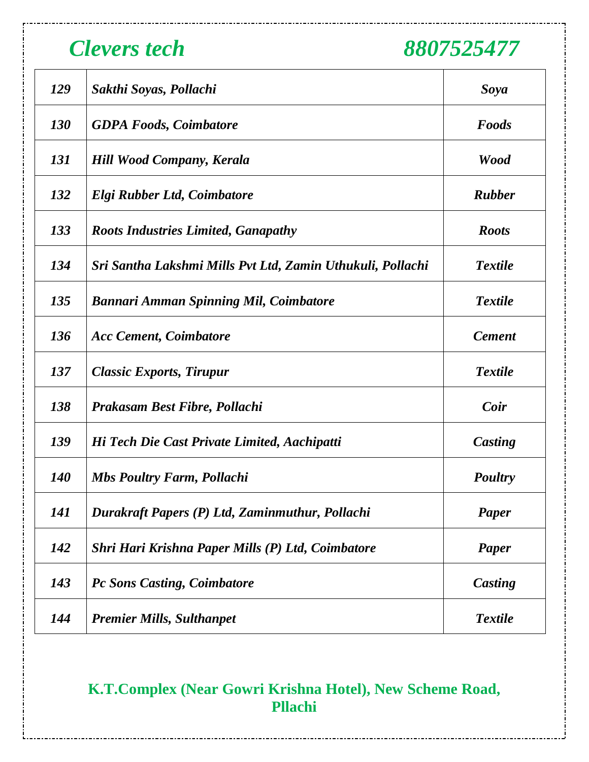| 129        | Sakthi Soyas, Pollachi                                     | Soya           |
|------------|------------------------------------------------------------|----------------|
| <b>130</b> | <b>GDPA Foods, Coimbatore</b>                              | Foods          |
| <i>131</i> | <b>Hill Wood Company, Kerala</b>                           | <b>Wood</b>    |
| 132        | Elgi Rubber Ltd, Coimbatore                                | <b>Rubber</b>  |
| 133        | <b>Roots Industries Limited, Ganapathy</b>                 | <b>Roots</b>   |
| 134        | Sri Santha Lakshmi Mills Pvt Ltd, Zamin Uthukuli, Pollachi | <b>Textile</b> |
| 135        | <b>Bannari Amman Spinning Mil, Coimbatore</b>              | <b>Textile</b> |
| 136        | <b>Acc Cement, Coimbatore</b>                              | <b>Cement</b>  |
| 137        | <b>Classic Exports, Tirupur</b>                            | <b>Textile</b> |
| 138        | <b>Prakasam Best Fibre, Pollachi</b>                       | Coir           |
| 139        | Hi Tech Die Cast Private Limited, Aachipatti               | Casting        |
| <b>140</b> | <b>Mbs Poultry Farm, Pollachi</b>                          | <b>Poultry</b> |
| 141        | Durakraft Papers (P) Ltd, Zaminmuthur, Pollachi            | Paper          |
| 142        | Shri Hari Krishna Paper Mills (P) Ltd, Coimbatore          | <b>Paper</b>   |
| 143        | <b>Pc Sons Casting, Coimbatore</b>                         | Casting        |
| 144        | <b>Premier Mills, Sulthanpet</b>                           | <b>Textile</b> |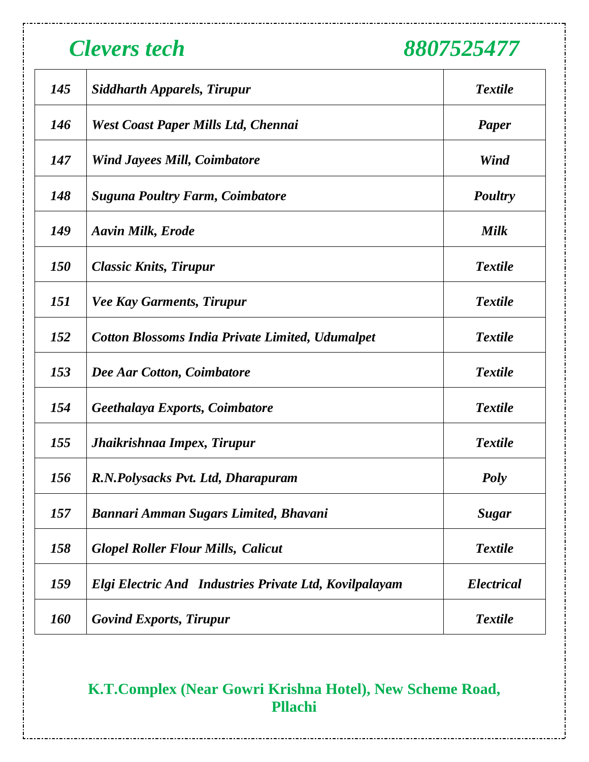| 145        | <b>Siddharth Apparels, Tirupur</b>                      | <b>Textile</b>    |
|------------|---------------------------------------------------------|-------------------|
| 146        | <b>West Coast Paper Mills Ltd, Chennai</b>              | <b>Paper</b>      |
| 147        | <b>Wind Jayees Mill, Coimbatore</b>                     | Wind              |
| 148        | <b>Suguna Poultry Farm, Coimbatore</b>                  | <b>Poultry</b>    |
| 149        | <b>Aavin Milk, Erode</b>                                | <b>Milk</b>       |
| <i>150</i> | <b>Classic Knits, Tirupur</b>                           | <b>Textile</b>    |
| <i>151</i> | <b>Vee Kay Garments, Tirupur</b>                        | <b>Textile</b>    |
| 152        | <b>Cotton Blossoms India Private Limited, Udumalpet</b> | <b>Textile</b>    |
| 153        | Dee Aar Cotton, Coimbatore                              | <b>Textile</b>    |
| 154        | Geethalaya Exports, Coimbatore                          | <b>Textile</b>    |
| 155        | Jhaikrishnaa Impex, Tirupur                             | <b>Textile</b>    |
| 156        | R.N.Polysacks Pvt. Ltd, Dharapuram                      | <b>Poly</b>       |
| 157        | Bannari Amman Sugars Limited, Bhavani                   | Sugar             |
| 158        | <b>Glopel Roller Flour Mills, Calicut</b>               | <b>Textile</b>    |
| 159        | Elgi Electric And Industries Private Ltd, Kovilpalayam  | <b>Electrical</b> |
| <b>160</b> | <b>Govind Exports, Tirupur</b>                          | <b>Textile</b>    |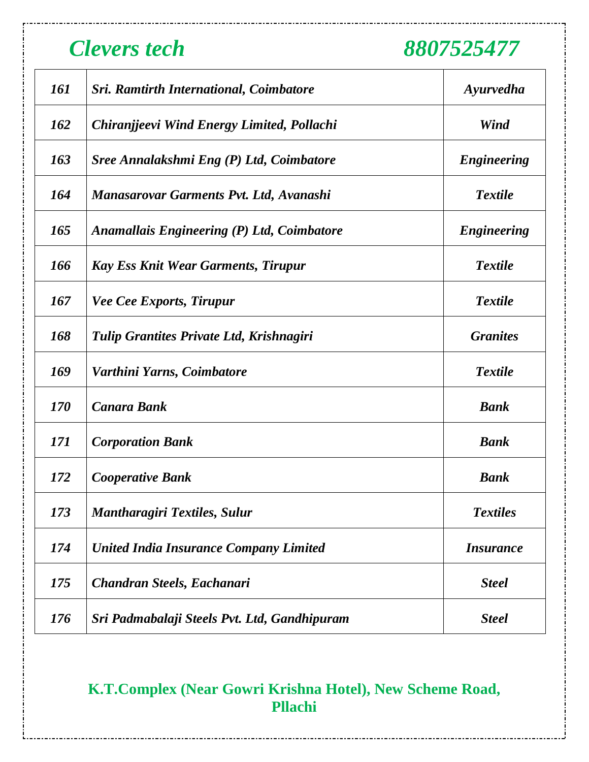| 161        | <b>Sri. Ramtirth International, Coimbatore</b>    | Ayurvedha               |
|------------|---------------------------------------------------|-------------------------|
| 162        | Chiranjjeevi Wind Energy Limited, Pollachi        | Wind                    |
| 163        | Sree Annalakshmi Eng (P) Ltd, Coimbatore          | <b>Engineering</b>      |
| 164        | <b>Manasarovar Garments Pvt. Ltd, Avanashi</b>    | <b>Textile</b>          |
| 165        | <b>Anamallais Engineering (P) Ltd, Coimbatore</b> | <b>Engineering</b>      |
| 166        | <b>Kay Ess Knit Wear Garments, Tirupur</b>        | <b>Textile</b>          |
| 167        | <b>Vee Cee Exports, Tirupur</b>                   | <b>Textile</b>          |
| 168        | Tulip Grantites Private Ltd, Krishnagiri          | <b>Granites</b>         |
| 169        | Varthini Yarns, Coimbatore                        | <b>Textile</b>          |
| <i>170</i> | <b>Canara Bank</b>                                | <b>Bank</b>             |
| 171        | <b>Corporation Bank</b>                           | <b>Bank</b>             |
| 172        | <b>Cooperative Bank</b>                           | <b>Bank</b>             |
| 173        | <b>Mantharagiri Textiles, Sulur</b>               | <b>Textiles</b>         |
| 174        | <b>United India Insurance Company Limited</b>     | <i><b>Insurance</b></i> |
| 175        | Chandran Steels, Eachanari                        | <b>Steel</b>            |
| 176        | Sri Padmabalaji Steels Pvt. Ltd, Gandhipuram      | <b>Steel</b>            |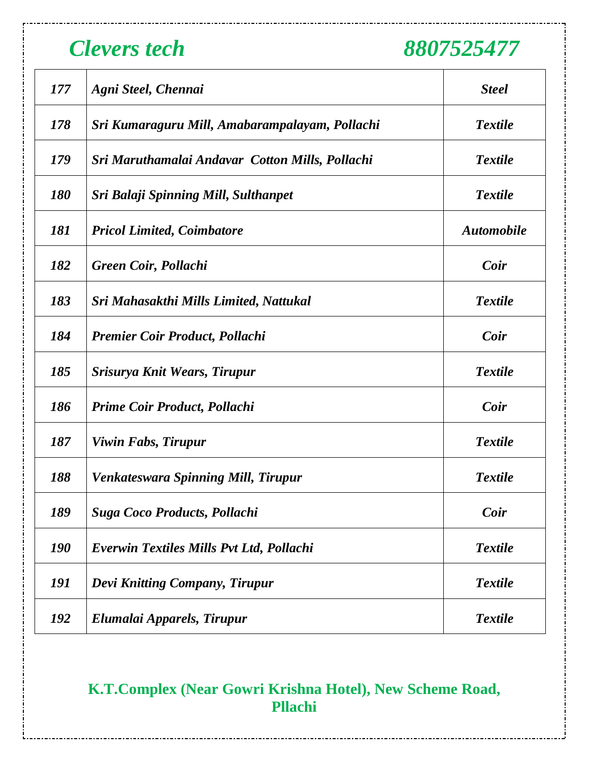| 177        | Agni Steel, Chennai                             | <b>Steel</b>      |
|------------|-------------------------------------------------|-------------------|
| 178        | Sri Kumaraguru Mill, Amabarampalayam, Pollachi  | <b>Textile</b>    |
| 179        | Sri Maruthamalai Andavar Cotton Mills, Pollachi | <b>Textile</b>    |
| 180        | Sri Balaji Spinning Mill, Sulthanpet            | <b>Textile</b>    |
| 181        | <b>Pricol Limited, Coimbatore</b>               | <b>Automobile</b> |
| 182        | Green Coir, Pollachi                            | Coir              |
| 183        | Sri Mahasakthi Mills Limited, Nattukal          | <b>Textile</b>    |
| 184        | <b>Premier Coir Product, Pollachi</b>           | Coir              |
| 185        | Srisurya Knit Wears, Tirupur                    | <b>Textile</b>    |
| 186        | Prime Coir Product, Pollachi                    | Coir              |
| 187        | Viwin Fabs, Tirupur                             | <b>Textile</b>    |
| 188        | <b>Venkateswara Spinning Mill, Tirupur</b>      | <b>Textile</b>    |
| 189        | <b>Suga Coco Products, Pollachi</b>             | Coir              |
| <b>190</b> | Everwin Textiles Mills Pvt Ltd, Pollachi        | <b>Textile</b>    |
| 191        | Devi Knitting Company, Tirupur                  | <b>Textile</b>    |
| 192        | Elumalai Apparels, Tirupur                      | <b>Textile</b>    |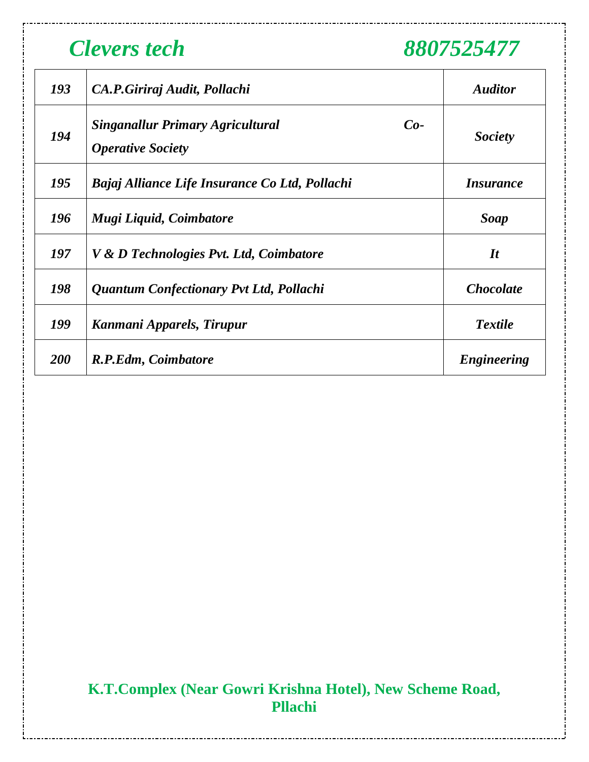| 193        | CA.P.Giriraj Audit, Pollachi                                                 | <b>Auditor</b>   |
|------------|------------------------------------------------------------------------------|------------------|
| 194        | <b>Singanallur Primary Agricultural</b><br>$Co-$<br><b>Operative Society</b> | <b>Society</b>   |
| 195        | Bajaj Alliance Life Insurance Co Ltd, Pollachi                               | <i>Insurance</i> |
| 196        | Mugi Liquid, Coimbatore                                                      | <b>Soap</b>      |
| 197        | V & D Technologies Pvt. Ltd, Coimbatore                                      | $\mathbf{I}$ t   |
| 198        | Quantum Confectionary Pvt Ltd, Pollachi                                      | <b>Chocolate</b> |
| 199        | Kanmani Apparels, Tirupur                                                    | <b>Textile</b>   |
| <b>200</b> | R.P.Edm, Coimbatore                                                          | Engineering      |